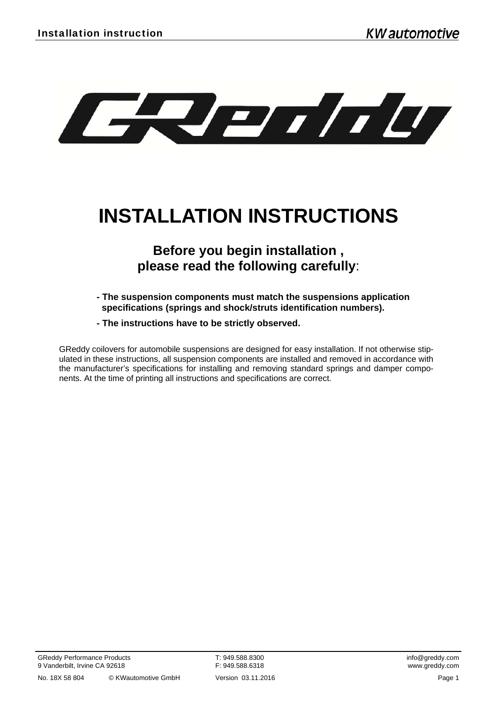

# **INSTALLATION INSTRUCTIONS**

# **Before you begin installation , please read the following carefully**:

- **The suspension components must match the suspensions application specifications (springs and shock/struts identification numbers).**
- **The instructions have to be strictly observed.**

GReddy coilovers for automobile suspensions are designed for easy installation. If not otherwise stipulated in these instructions, all suspension components are installed and removed in accordance with the manufacturer's specifications for installing and removing standard springs and damper components. At the time of printing all instructions and specifications are correct.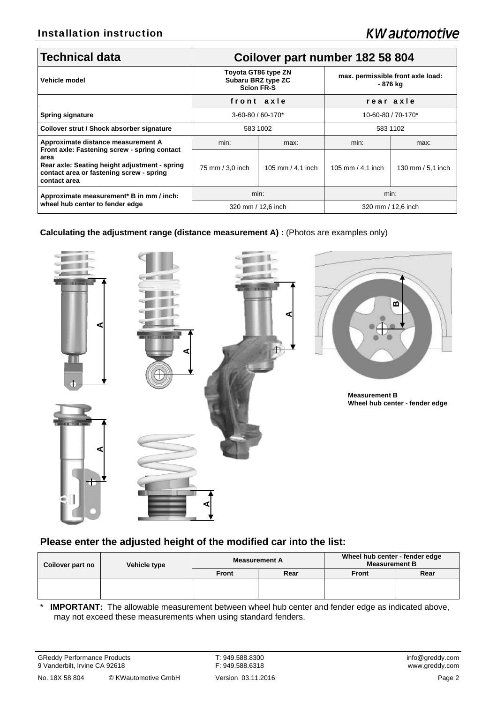| <b>Technical data</b>                                                                                                                                                                                   | Coilover part number 182 58 804                                |                   |                                               |                   |  |
|---------------------------------------------------------------------------------------------------------------------------------------------------------------------------------------------------------|----------------------------------------------------------------|-------------------|-----------------------------------------------|-------------------|--|
| Vehicle model                                                                                                                                                                                           | Toyota GT86 type ZN<br>Subaru BRZ type ZC<br><b>Scion FR-S</b> |                   | max. permissible front axle load:<br>- 876 kg |                   |  |
|                                                                                                                                                                                                         | front axle                                                     |                   | rear axle                                     |                   |  |
| <b>Spring signature</b>                                                                                                                                                                                 | 3-60-80 / 60-170*                                              |                   | 10-60-80 / 70-170*                            |                   |  |
| Coilover strut / Shock absorber signature                                                                                                                                                               | 583 1002                                                       |                   | 583 1102                                      |                   |  |
| Approximate distance measurement A<br>Front axle: Fastening screw - spring contact<br>area<br>Rear axle: Seating height adjustment - spring<br>contact area or fastening screw - spring<br>contact area | min:                                                           | max:              | min:                                          | max:              |  |
|                                                                                                                                                                                                         | 75 mm / 3,0 inch                                               | 105 mm / 4,1 inch | 105 mm $/$ 4,1 inch                           | 130 mm / 5,1 inch |  |
| Approximate measurement* B in mm / inch:<br>wheel hub center to fender edge                                                                                                                             | min:                                                           |                   | min:                                          |                   |  |
|                                                                                                                                                                                                         | 320 mm / 12,6 inch                                             |                   | 320 mm / 12,6 inch                            |                   |  |

**Calculating the adjustment range (distance measurement A) : (Photos are examples only)** 



# **Please enter the adjusted height of the modified car into the list:**

| Coilover part no | Vehicle type | <b>Measurement A</b> |      | Wheel hub center - fender edge<br><b>Measurement B</b> |      |
|------------------|--------------|----------------------|------|--------------------------------------------------------|------|
|                  |              | <b>Front</b>         | Rear | <b>Front</b>                                           | Rear |
|                  |              |                      |      |                                                        |      |
|                  |              |                      |      |                                                        |      |

\* **IMPORTANT:** The allowable measurement between wheel hub center and fender edge as indicated above, may not exceed these measurements when using standard fenders.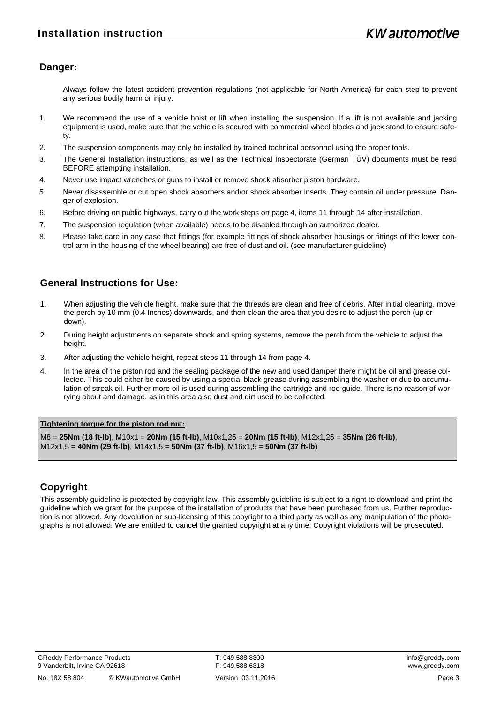## **Danger:**

 Always follow the latest accident prevention regulations (not applicable for North America) for each step to prevent any serious bodily harm or injury.

- 1. We recommend the use of a vehicle hoist or lift when installing the suspension. If a lift is not available and jacking equipment is used, make sure that the vehicle is secured with commercial wheel blocks and jack stand to ensure safety.
- 2. The suspension components may only be installed by trained technical personnel using the proper tools.
- 3. The General Installation instructions, as well as the Technical Inspectorate (German TÜV) documents must be read BEFORE attempting installation.
- 4. Never use impact wrenches or guns to install or remove shock absorber piston hardware.
- 5. Never disassemble or cut open shock absorbers and/or shock absorber inserts. They contain oil under pressure. Danger of explosion.
- 6. Before driving on public highways, carry out the work steps on page 4, items 11 through 14 after installation.
- 7. The suspension regulation (when available) needs to be disabled through an authorized dealer.
- 8. Please take care in any case that fittings (for example fittings of shock absorber housings or fittings of the lower control arm in the housing of the wheel bearing) are free of dust and oil. (see manufacturer guideline)

# **General Instructions for Use:**

- 1. When adjusting the vehicle height, make sure that the threads are clean and free of debris. After initial cleaning, move the perch by 10 mm (0.4 Inches) downwards, and then clean the area that you desire to adjust the perch (up or down).
- 2. During height adjustments on separate shock and spring systems, remove the perch from the vehicle to adjust the height.
- 3. After adjusting the vehicle height, repeat steps 11 through 14 from page 4.
- 4. In the area of the piston rod and the sealing package of the new and used damper there might be oil and grease collected. This could either be caused by using a special black grease during assembling the washer or due to accumulation of streak oil. Further more oil is used during assembling the cartridge and rod guide. There is no reason of worrying about and damage, as in this area also dust and dirt used to be collected.

#### **Tightening torque for the piston rod nut:**

M8 = **25Nm (18 ft-lb)**, M10x1 = **20Nm (15 ft-lb)**, M10x1,25 = **20Nm (15 ft-lb)**, M12x1,25 = **35Nm (26 ft-lb)**, M12x1,5 = **40Nm (29 ft-lb)**, M14x1,5 = **50Nm (37 ft-lb)**, M16x1,5 = **50Nm (37 ft-lb)**

### **Copyright**

This assembly guideline is protected by copyright law. This assembly guideline is subject to a right to download and print the guideline which we grant for the purpose of the installation of products that have been purchased from us. Further reproduction is not allowed. Any devolution or sub-licensing of this copyright to a third party as well as any manipulation of the photographs is not allowed. We are entitled to cancel the granted copyright at any time. Copyright violations will be prosecuted.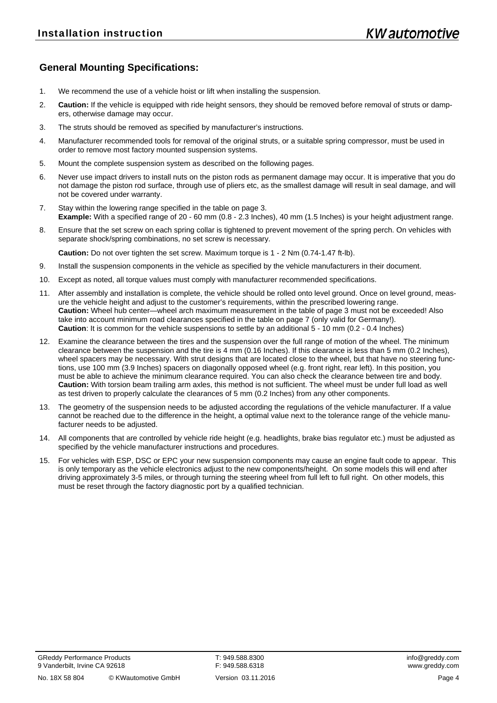# **General Mounting Specifications:**

- 1. We recommend the use of a vehicle hoist or lift when installing the suspension.
- 2. **Caution:** If the vehicle is equipped with ride height sensors, they should be removed before removal of struts or dampers, otherwise damage may occur.
- 3. The struts should be removed as specified by manufacturer's instructions.
- 4. Manufacturer recommended tools for removal of the original struts, or a suitable spring compressor, must be used in order to remove most factory mounted suspension systems.
- 5. Mount the complete suspension system as described on the following pages.
- 6. Never use impact drivers to install nuts on the piston rods as permanent damage may occur. It is imperative that you do not damage the piston rod surface, through use of pliers etc, as the smallest damage will result in seal damage, and will not be covered under warranty.
- 7. Stay within the lowering range specified in the table on page 3. **Example:** With a specified range of 20 - 60 mm (0.8 - 2.3 Inches), 40 mm (1.5 Inches) is your height adjustment range.
- 8. Ensure that the set screw on each spring collar is tightened to prevent movement of the spring perch. On vehicles with separate shock/spring combinations, no set screw is necessary.

**Caution:** Do not over tighten the set screw. Maximum torque is 1 - 2 Nm (0.74-1.47 ft-lb).

- 9. Install the suspension components in the vehicle as specified by the vehicle manufacturers in their document.
- 10. Except as noted, all torque values must comply with manufacturer recommended specifications.
- 11. After assembly and installation is complete, the vehicle should be rolled onto level ground. Once on level ground, measure the vehicle height and adjust to the customer's requirements, within the prescribed lowering range. **Caution:** Wheel hub center—wheel arch maximum measurement in the table of page 3 must not be exceeded! Also take into account minimum road clearances specified in the table on page 7 (only valid for Germany!). **Caution**: It is common for the vehicle suspensions to settle by an additional 5 - 10 mm (0.2 - 0.4 Inches)
- 12. Examine the clearance between the tires and the suspension over the full range of motion of the wheel. The minimum clearance between the suspension and the tire is 4 mm (0.16 Inches). If this clearance is less than 5 mm (0.2 Inches), wheel spacers may be necessary. With strut designs that are located close to the wheel, but that have no steering functions, use 100 mm (3.9 Inches) spacers on diagonally opposed wheel (e.g. front right, rear left). In this position, you must be able to achieve the minimum clearance required. You can also check the clearance between tire and body. **Caution:** With torsion beam trailing arm axles, this method is not sufficient. The wheel must be under full load as well as test driven to properly calculate the clearances of 5 mm (0.2 Inches) from any other components.
- 13. The geometry of the suspension needs to be adjusted according the regulations of the vehicle manufacturer. If a value cannot be reached due to the difference in the height, a optimal value next to the tolerance range of the vehicle manufacturer needs to be adjusted.
- 14. All components that are controlled by vehicle ride height (e.g. headlights, brake bias regulator etc.) must be adjusted as specified by the vehicle manufacturer instructions and procedures.
- 15. For vehicles with ESP, DSC or EPC your new suspension components may cause an engine fault code to appear. This is only temporary as the vehicle electronics adjust to the new components/height. On some models this will end after driving approximately 3-5 miles, or through turning the steering wheel from full left to full right. On other models, this must be reset through the factory diagnostic port by a qualified technician.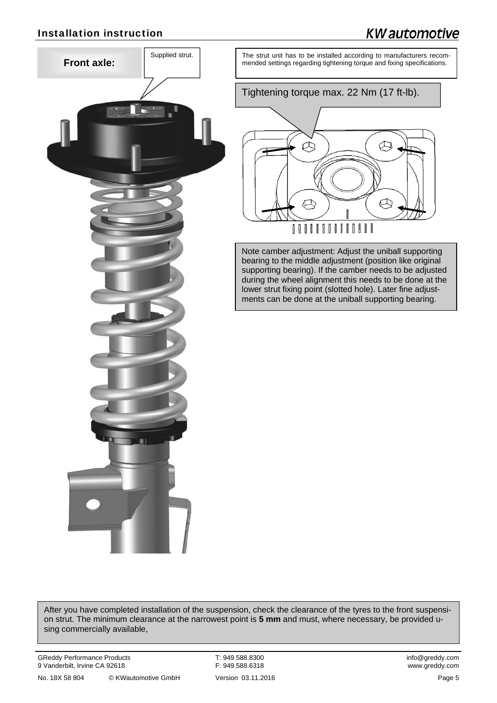# Installation instruction

# **KW** automotive



Supplied strut. The strut unit has to be installed according to manufacturers recommended settings regarding tightening torque and fixing specifications.

Tightening torque max. 22 Nm (17 ft-lb).



Note camber adjustment: Adjust the uniball supporting bearing to the middle adjustment (position like original supporting bearing). If the camber needs to be adjusted during the wheel alignment this needs to be done at the lower strut fixing point (slotted hole). Later fine adjustments can be done at the uniball supporting bearing.

After you have completed installation of the suspension, check the clearance of the tyres to the front suspension strut. The minimum clearance at the narrowest point is **5 mm** and must, where necessary, be provided using commercially available,